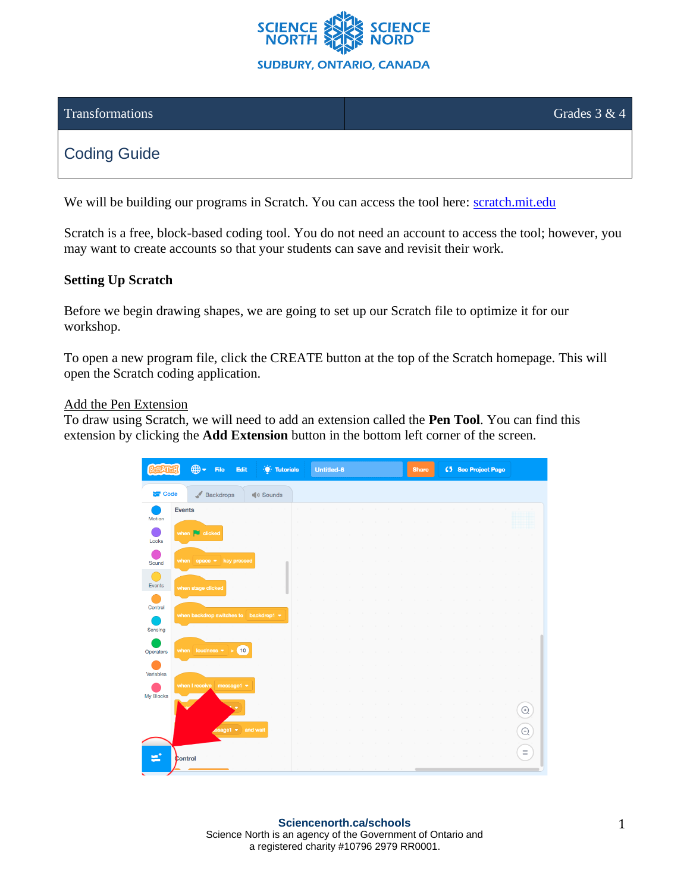

### $\frac{1}{2}$  Transformations Grades 3 & 4

## Coding Guide

We will be building our programs in Scratch. You can access the tool here: [scratch.mit.edu](https://scratch.mit.edu/)

Scratch is a free, block-based coding tool. You do not need an account to access the tool; however, you may want to create accounts so that your students can save and revisit their work.

#### **Setting Up Scratch**

Before we begin drawing shapes, we are going to set up our Scratch file to optimize it for our workshop.

To open a new program file, click the CREATE button at the top of the Scratch homepage. This will open the Scratch coding application.

#### Add the Pen Extension

To draw using Scratch, we will need to add an extension called the **Pen Tool**. You can find this extension by clicking the **Add Extension** button in the bottom left corner of the screen.

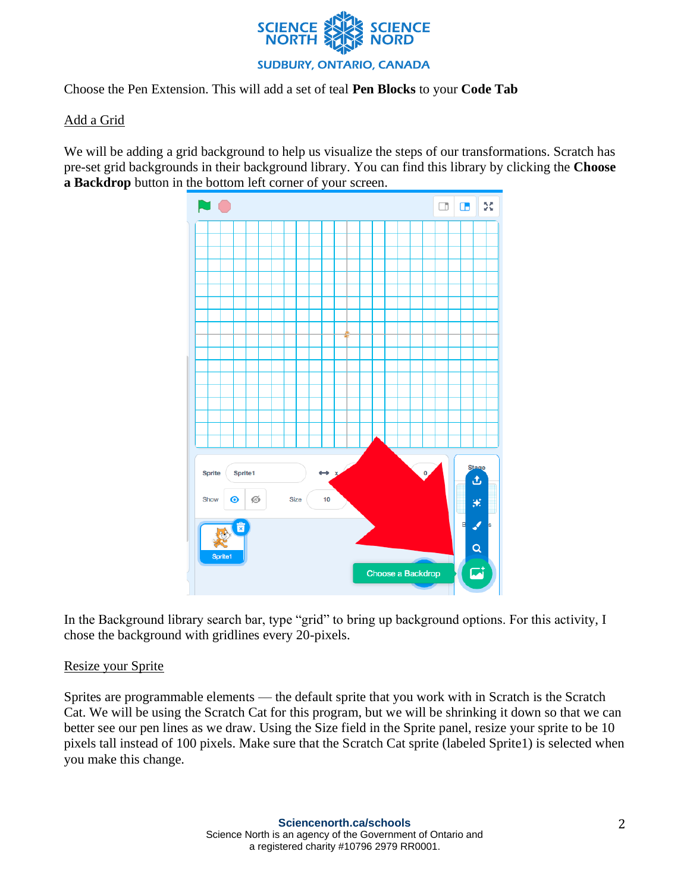

Choose the Pen Extension. This will add a set of teal **Pen Blocks** to your **Code Tab**

### Add a Grid

We will be adding a grid background to help us visualize the steps of our transformations. Scratch has pre-set grid backgrounds in their background library. You can find this library by clicking the **Choose a Backdrop** button in the bottom left corner of your screen.



In the Background library search bar, type "grid" to bring up background options. For this activity, I chose the background with gridlines every 20-pixels.

### Resize your Sprite

Sprites are programmable elements — the default sprite that you work with in Scratch is the Scratch Cat. We will be using the Scratch Cat for this program, but we will be shrinking it down so that we can better see our pen lines as we draw. Using the Size field in the Sprite panel, resize your sprite to be 10 pixels tall instead of 100 pixels. Make sure that the Scratch Cat sprite (labeled Sprite1) is selected when you make this change.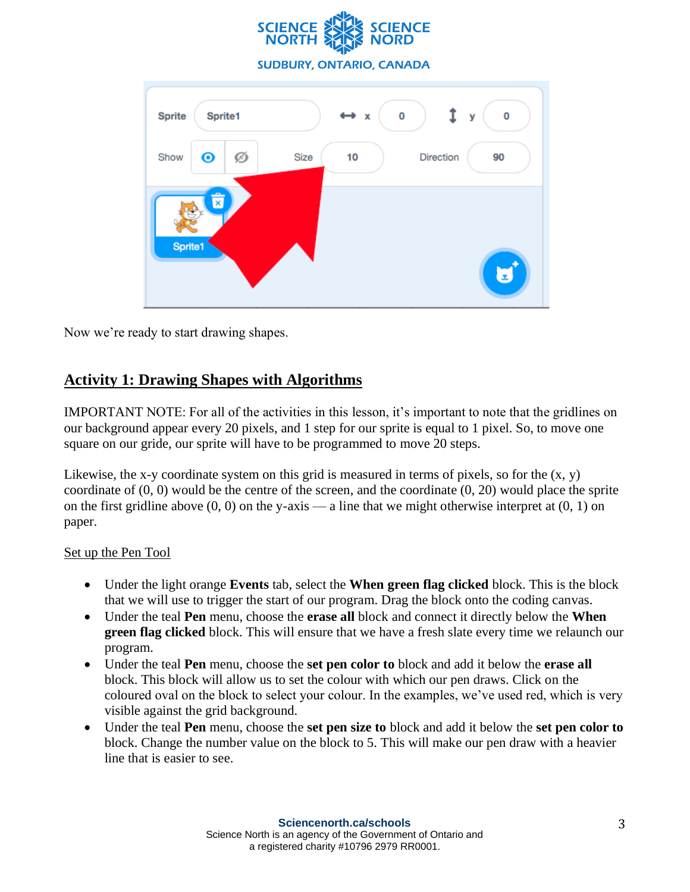



Now we're ready to start drawing shapes.

### **Activity 1: Drawing Shapes with Algorithms**

IMPORTANT NOTE: For all of the activities in this lesson, it's important to note that the gridlines on our background appear every 20 pixels, and 1 step for our sprite is equal to 1 pixel. So, to move one square on our gride, our sprite will have to be programmed to move 20 steps.

Likewise, the x-y coordinate system on this grid is measured in terms of pixels, so for the  $(x, y)$ coordinate of (0, 0) would be the centre of the screen, and the coordinate (0, 20) would place the sprite on the first gridline above  $(0, 0)$  on the y-axis — a line that we might otherwise interpret at  $(0, 1)$  on paper.

### Set up the Pen Tool

- Under the light orange **Events** tab, select the **When green flag clicked** block. This is the block that we will use to trigger the start of our program. Drag the block onto the coding canvas.
- Under the teal **Pen** menu, choose the **erase all** block and connect it directly below the **When green flag clicked** block. This will ensure that we have a fresh slate every time we relaunch our program.
- Under the teal **Pen** menu, choose the **set pen color to** block and add it below the **erase all**  block. This block will allow us to set the colour with which our pen draws. Click on the coloured oval on the block to select your colour. In the examples, we've used red, which is very visible against the grid background.
- Under the teal **Pen** menu, choose the **set pen size to** block and add it below the **set pen color to** block. Change the number value on the block to 5. This will make our pen draw with a heavier line that is easier to see.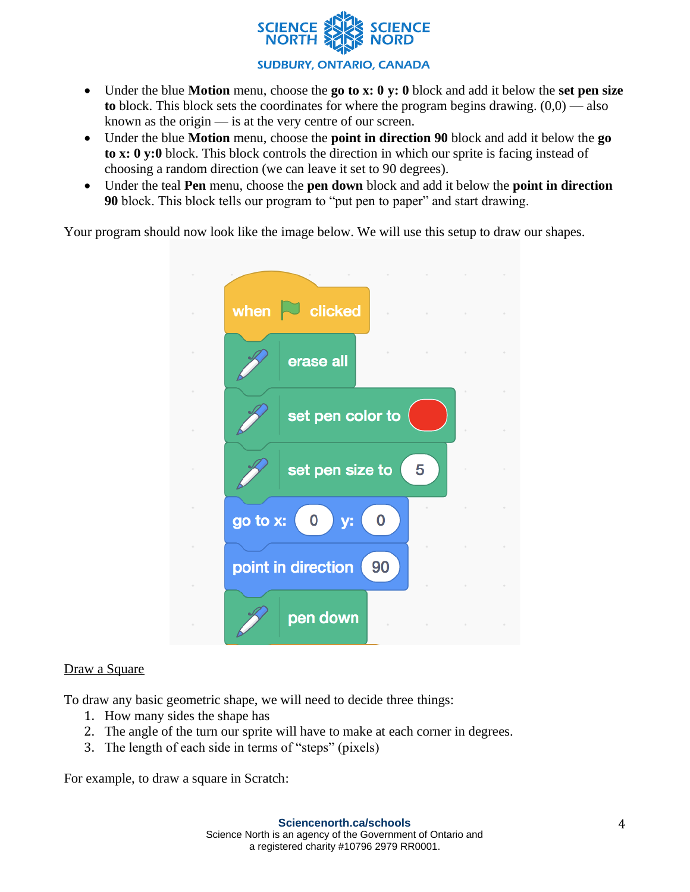

**SUDBURY, ONTARIO, CANADA** 

- Under the blue **Motion** menu, choose the **go to x: 0 y: 0** block and add it below the **set pen size to** block. This block sets the coordinates for where the program begins drawing. (0,0) — also known as the origin — is at the very centre of our screen.
- Under the blue **Motion** menu, choose the **point in direction 90** block and add it below the **go to x: 0 y:0** block. This block controls the direction in which our sprite is facing instead of choosing a random direction (we can leave it set to 90 degrees).
- Under the teal **Pen** menu, choose the **pen down** block and add it below the **point in direction 90** block. This block tells our program to "put pen to paper" and start drawing.

Your program should now look like the image below. We will use this setup to draw our shapes.



### Draw a Square

To draw any basic geometric shape, we will need to decide three things:

- 1. How many sides the shape has
- 2. The angle of the turn our sprite will have to make at each corner in degrees.
- 3. The length of each side in terms of "steps" (pixels)

For example, to draw a square in Scratch: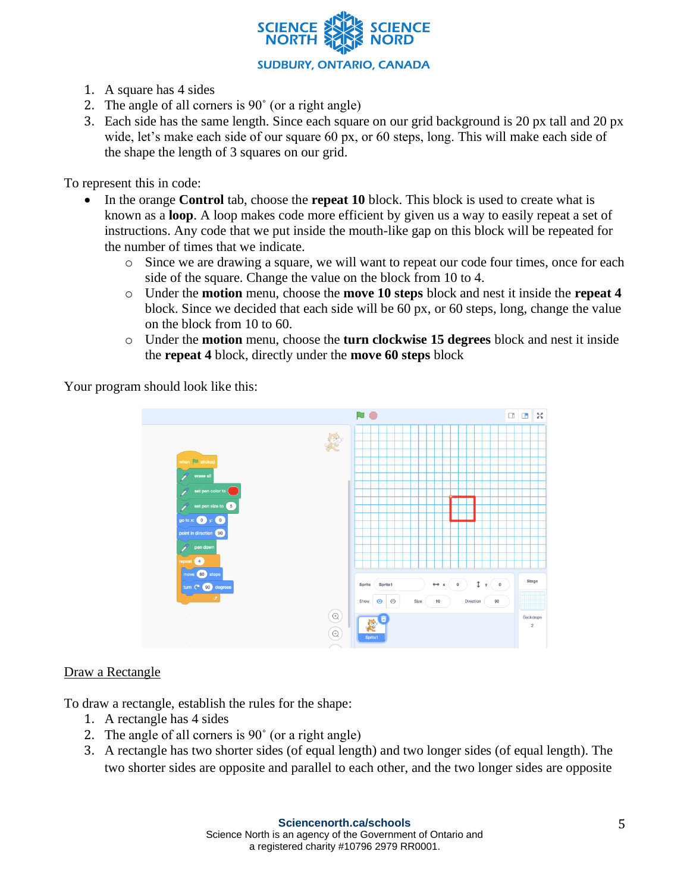

- 1. A square has 4 sides
- 2. The angle of all corners is 90˚ (or a right angle)
- 3. Each side has the same length. Since each square on our grid background is 20 px tall and 20 px wide, let's make each side of our square 60 px, or 60 steps, long. This will make each side of the shape the length of 3 squares on our grid.

To represent this in code:

- In the orange **Control** tab, choose the **repeat 10** block. This block is used to create what is known as a **loop**. A loop makes code more efficient by given us a way to easily repeat a set of instructions. Any code that we put inside the mouth-like gap on this block will be repeated for the number of times that we indicate.
	- o Since we are drawing a square, we will want to repeat our code four times, once for each side of the square. Change the value on the block from 10 to 4.
	- o Under the **motion** menu, choose the **move 10 steps** block and nest it inside the **repeat 4** block. Since we decided that each side will be 60 px, or 60 steps, long, change the value on the block from 10 to 60.
	- o Under the **motion** menu, choose the **turn clockwise 15 degrees** block and nest it inside the **repeat 4** block, directly under the **move 60 steps** block

Your program should look like this:



#### Draw a Rectangle

To draw a rectangle, establish the rules for the shape:

- 1. A rectangle has 4 sides
- 2. The angle of all corners is 90˚ (or a right angle)
- 3. A rectangle has two shorter sides (of equal length) and two longer sides (of equal length). The two shorter sides are opposite and parallel to each other, and the two longer sides are opposite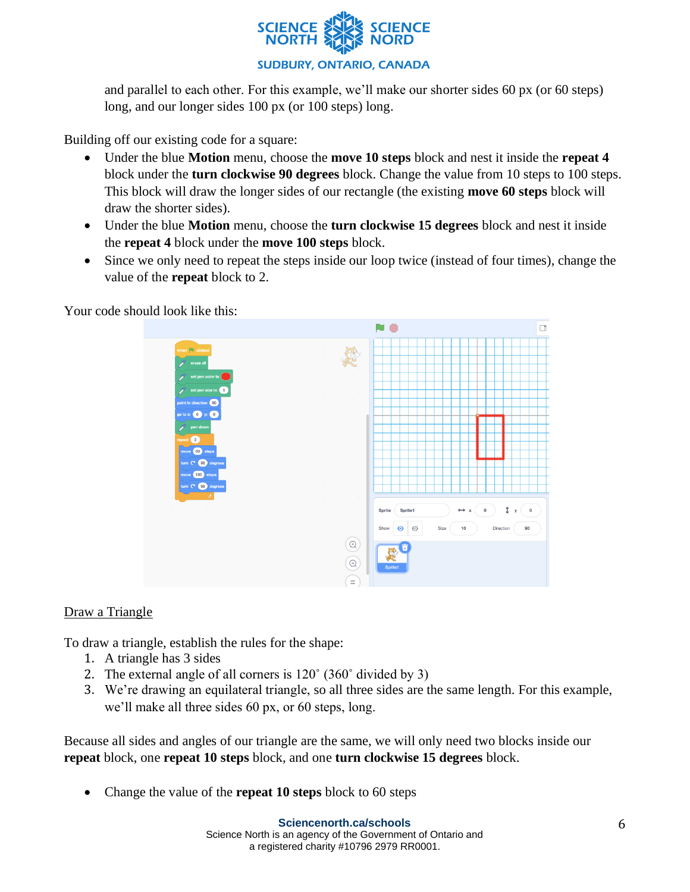

and parallel to each other. For this example, we'll make our shorter sides 60 px (or 60 steps) long, and our longer sides 100 px (or 100 steps) long.

Building off our existing code for a square:

- Under the blue **Motion** menu, choose the **move 10 steps** block and nest it inside the **repeat 4**  block under the **turn clockwise 90 degrees** block. Change the value from 10 steps to 100 steps. This block will draw the longer sides of our rectangle (the existing **move 60 steps** block will draw the shorter sides).
- Under the blue **Motion** menu, choose the **turn clockwise 15 degrees** block and nest it inside the **repeat 4** block under the **move 100 steps** block.
- Since we only need to repeat the steps inside our loop twice (instead of four times), change the value of the **repeat** block to 2.

Your code should look like this:



### Draw a Triangle

To draw a triangle, establish the rules for the shape:

- 1. A triangle has 3 sides
- 2. The external angle of all corners is 120˚ (360˚ divided by 3)
- 3. We're drawing an equilateral triangle, so all three sides are the same length. For this example, we'll make all three sides 60 px, or 60 steps, long.

Because all sides and angles of our triangle are the same, we will only need two blocks inside our **repeat** block, one **repeat 10 steps** block, and one **turn clockwise 15 degrees** block.

• Change the value of the **repeat 10 steps** block to 60 steps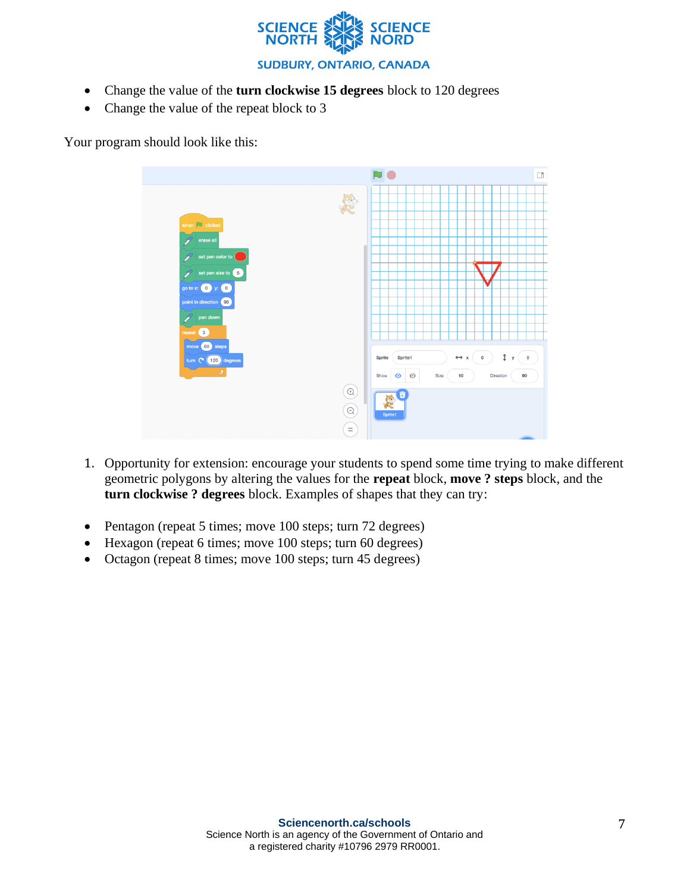

- Change the value of the **turn clockwise 15 degrees** block to 120 degrees
- Change the value of the repeat block to 3

Your program should look like this:



- 1. Opportunity for extension: encourage your students to spend some time trying to make different geometric polygons by altering the values for the **repeat** block, **move ? steps** block, and the **turn clockwise ? degrees** block. Examples of shapes that they can try:
- Pentagon (repeat 5 times; move 100 steps; turn 72 degrees)
- Hexagon (repeat 6 times; move 100 steps; turn 60 degrees)
- Octagon (repeat 8 times; move 100 steps; turn 45 degrees)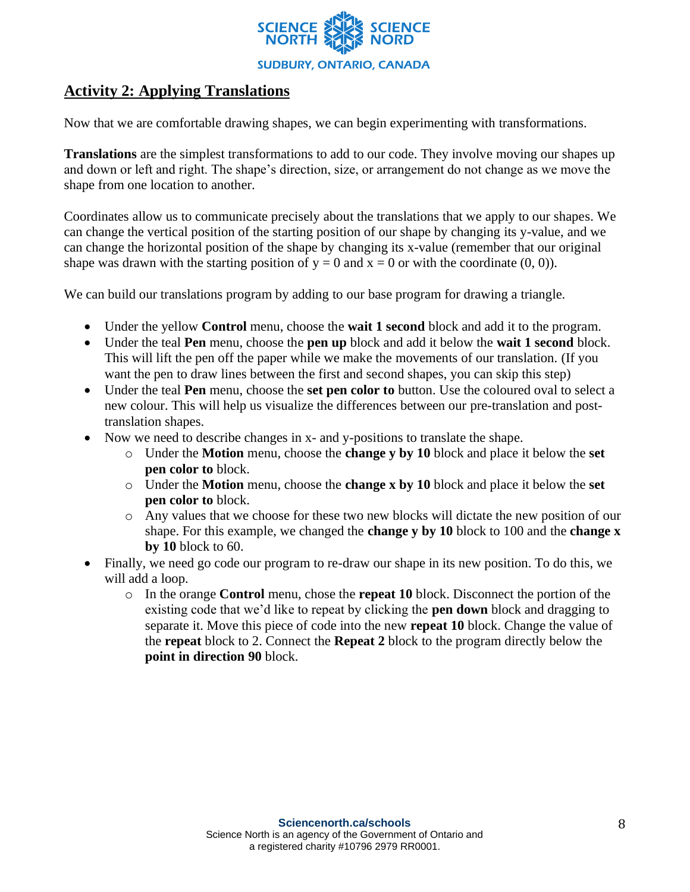

## **Activity 2: Applying Translations**

Now that we are comfortable drawing shapes, we can begin experimenting with transformations.

**Translations** are the simplest transformations to add to our code. They involve moving our shapes up and down or left and right. The shape's direction, size, or arrangement do not change as we move the shape from one location to another.

Coordinates allow us to communicate precisely about the translations that we apply to our shapes. We can change the vertical position of the starting position of our shape by changing its y-value, and we can change the horizontal position of the shape by changing its x-value (remember that our original shape was drawn with the starting position of  $y = 0$  and  $x = 0$  or with the coordinate (0, 0)).

We can build our translations program by adding to our base program for drawing a triangle.

- Under the yellow **Control** menu, choose the **wait 1 second** block and add it to the program.
- Under the teal **Pen** menu, choose the **pen up** block and add it below the **wait 1 second** block. This will lift the pen off the paper while we make the movements of our translation. (If you want the pen to draw lines between the first and second shapes, you can skip this step)
- Under the teal **Pen** menu, choose the **set pen color to** button. Use the coloured oval to select a new colour. This will help us visualize the differences between our pre-translation and posttranslation shapes.
- Now we need to describe changes in x- and y-positions to translate the shape.
	- o Under the **Motion** menu, choose the **change y by 10** block and place it below the **set pen color to** block.
	- o Under the **Motion** menu, choose the **change x by 10** block and place it below the **set pen color to** block.
	- o Any values that we choose for these two new blocks will dictate the new position of our shape. For this example, we changed the **change y by 10** block to 100 and the **change x by 10** block to 60.
- Finally, we need go code our program to re-draw our shape in its new position. To do this, we will add a loop.
	- o In the orange **Control** menu, chose the **repeat 10** block. Disconnect the portion of the existing code that we'd like to repeat by clicking the **pen down** block and dragging to separate it. Move this piece of code into the new **repeat 10** block. Change the value of the **repeat** block to 2. Connect the **Repeat 2** block to the program directly below the **point in direction 90** block.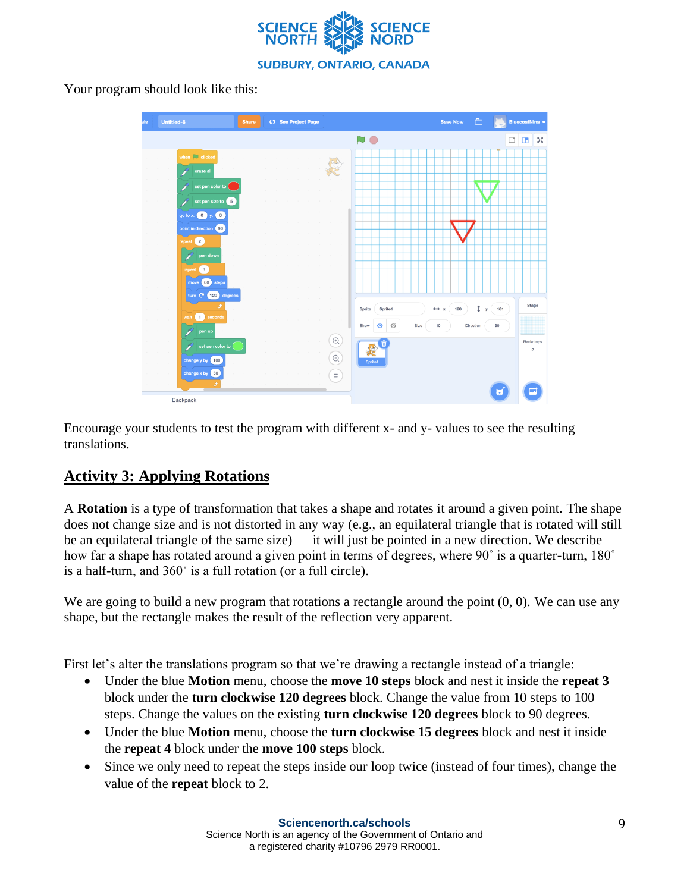

Your program should look like this:

| als | Untitled-6 |                                                                                           | Share | ⊈5 See Project Page |  |          |        | <b>Save Now</b> |               | $\bigoplus$ |                     | BluecoatNina - |           |  |           |        |        |                |
|-----|------------|-------------------------------------------------------------------------------------------|-------|---------------------|--|----------|--------|-----------------|---------------|-------------|---------------------|----------------|-----------|--|-----------|--------|--------|----------------|
|     |            |                                                                                           |       |                     |  |          | N      | $\bigcirc$      |               |             |                     |                |           |  |           | $\Box$ | $\Box$ | 5č             |
|     |            | when $\overline{\phantom{a}}$ clicked                                                     |       |                     |  |          |        |                 |               |             |                     |                |           |  |           |        |        |                |
|     |            | erase all<br>P                                                                            |       |                     |  |          |        |                 |               |             |                     |                |           |  |           |        |        |                |
|     |            | set pen color to<br>Ž                                                                     |       |                     |  |          |        |                 |               |             |                     |                |           |  |           |        |        |                |
|     |            | set pen size to 5                                                                         |       |                     |  |          |        |                 |               |             |                     |                |           |  |           |        |        |                |
|     |            | go to x: $\begin{pmatrix} 0 \\ y \end{pmatrix}$ y: $\begin{pmatrix} 0 \\ 0 \end{pmatrix}$ |       |                     |  |          |        |                 |               |             |                     |                |           |  |           |        |        |                |
|     |            | point in direction 90                                                                     |       |                     |  |          |        |                 |               |             |                     |                |           |  |           |        |        |                |
|     |            | repeat 2                                                                                  |       |                     |  |          |        |                 |               |             |                     |                |           |  |           |        |        |                |
|     |            | pen down                                                                                  |       |                     |  |          |        |                 |               |             |                     |                |           |  |           |        |        |                |
|     |            | repeat 3                                                                                  |       |                     |  |          |        |                 |               |             |                     |                |           |  |           |        |        |                |
|     |            | move 60 steps                                                                             |       |                     |  |          |        |                 |               |             |                     |                |           |  |           |        |        |                |
|     |            | turn ( 120 degrees                                                                        |       |                     |  |          |        |                 |               |             |                     |                |           |  |           |        |        |                |
|     |            | و                                                                                         |       |                     |  |          | Sprite |                 | Sprite1       |             | $\leftrightarrow x$ | 120            |           |  | 1 y (181) |        |        | Stage          |
|     |            | wait 1 seconds                                                                            |       |                     |  |          | Show   | $\bullet$       | $\varnothing$ | Size        | $10$                |                | Direction |  | 90        |        |        |                |
|     |            | pen up                                                                                    |       |                     |  | $\odot$  |        |                 |               |             |                     |                |           |  |           |        |        | Backdrops      |
|     |            | set pen color to                                                                          |       |                     |  |          |        |                 |               |             |                     |                |           |  |           |        |        | $\overline{c}$ |
|     |            | change y by 100                                                                           |       |                     |  | $\Theta$ |        | Sprite1         |               |             |                     |                |           |  |           |        |        |                |
|     |            | change $x$ by $\begin{bmatrix} 60 \end{bmatrix}$<br>J.                                    |       |                     |  | $\equiv$ |        |                 |               |             |                     |                |           |  |           |        |        |                |
|     |            | Backpack                                                                                  |       |                     |  |          |        |                 |               |             |                     |                |           |  | U         |        |        |                |

Encourage your students to test the program with different x- and y- values to see the resulting translations.

# **Activity 3: Applying Rotations**

A **Rotation** is a type of transformation that takes a shape and rotates it around a given point. The shape does not change size and is not distorted in any way (e.g., an equilateral triangle that is rotated will still be an equilateral triangle of the same size) — it will just be pointed in a new direction. We describe how far a shape has rotated around a given point in terms of degrees, where 90° is a quarter-turn, 180° is a half-turn, and 360˚ is a full rotation (or a full circle).

We are going to build a new program that rotations a rectangle around the point  $(0, 0)$ . We can use any shape, but the rectangle makes the result of the reflection very apparent.

First let's alter the translations program so that we're drawing a rectangle instead of a triangle:

- Under the blue **Motion** menu, choose the **move 10 steps** block and nest it inside the **repeat 3** block under the **turn clockwise 120 degrees** block. Change the value from 10 steps to 100 steps. Change the values on the existing **turn clockwise 120 degrees** block to 90 degrees.
- Under the blue **Motion** menu, choose the **turn clockwise 15 degrees** block and nest it inside the **repeat 4** block under the **move 100 steps** block.
- Since we only need to repeat the steps inside our loop twice (instead of four times), change the value of the **repeat** block to 2.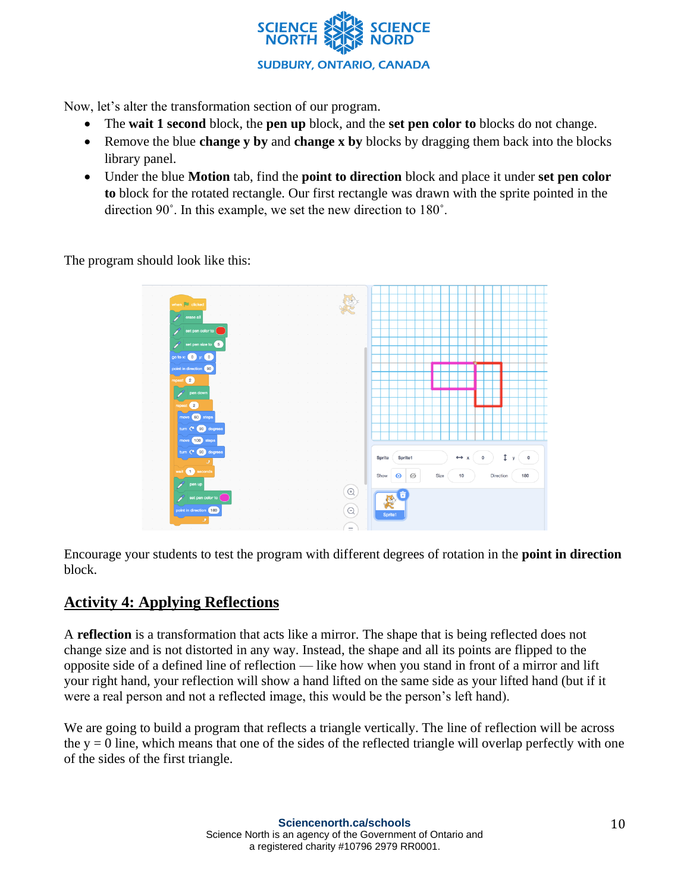

Now, let's alter the transformation section of our program.

- The **wait 1 second** block, the **pen up** block, and the **set pen color to** blocks do not change.
- Remove the blue **change y by** and **change x by** blocks by dragging them back into the blocks library panel.
- Under the blue **Motion** tab, find the **point to direction** block and place it under **set pen color to** block for the rotated rectangle. Our first rectangle was drawn with the sprite pointed in the direction 90˚. In this example, we set the new direction to 180˚.

The program should look like this:



Encourage your students to test the program with different degrees of rotation in the **point in direction**  block.

### **Activity 4: Applying Reflections**

A **reflection** is a transformation that acts like a mirror. The shape that is being reflected does not change size and is not distorted in any way. Instead, the shape and all its points are flipped to the opposite side of a defined line of reflection — like how when you stand in front of a mirror and lift your right hand, your reflection will show a hand lifted on the same side as your lifted hand (but if it were a real person and not a reflected image, this would be the person's left hand).

We are going to build a program that reflects a triangle vertically. The line of reflection will be across the  $y = 0$  line, which means that one of the sides of the reflected triangle will overlap perfectly with one of the sides of the first triangle.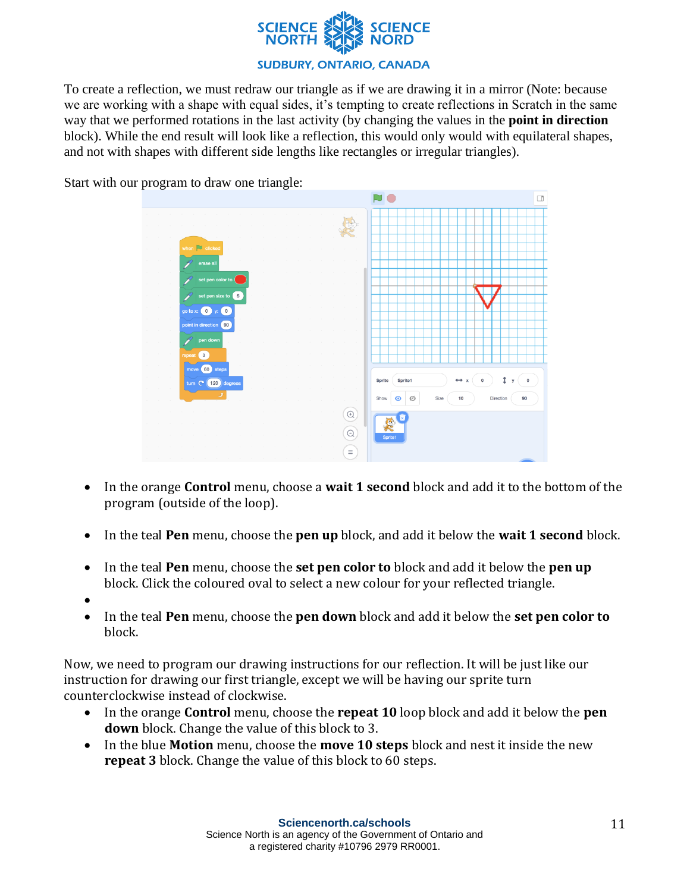

#### **SUDBURY, ONTARIO, CANADA**

To create a reflection, we must redraw our triangle as if we are drawing it in a mirror (Note: because we are working with a shape with equal sides, it's tempting to create reflections in Scratch in the same way that we performed rotations in the last activity (by changing the values in the **point in direction** block). While the end result will look like a reflection, this would only would with equilateral shapes, and not with shapes with different side lengths like rectangles or irregular triangles).



Start with our program to draw one triangle:

- In the orange **Control** menu, choose a **wait 1 second** block and add it to the bottom of the program (outside of the loop).
- In the teal **Pen** menu, choose the **pen up** block, and add it below the **wait 1 second** block.
- In the teal **Pen** menu, choose the **set pen color to** block and add it below the **pen up** block. Click the coloured oval to select a new colour for your reflected triangle.
- •
- In the teal **Pen** menu, choose the **pen down** block and add it below the **set pen color to**  block.

Now, we need to program our drawing instructions for our reflection. It will be just like our instruction for drawing our first triangle, except we will be having our sprite turn counterclockwise instead of clockwise.

- In the orange **Control** menu, choose the **repeat 10** loop block and add it below the **pen down** block. Change the value of this block to 3.
- In the blue **Motion** menu, choose the **move 10 steps** block and nest it inside the new **repeat 3** block. Change the value of this block to 60 steps.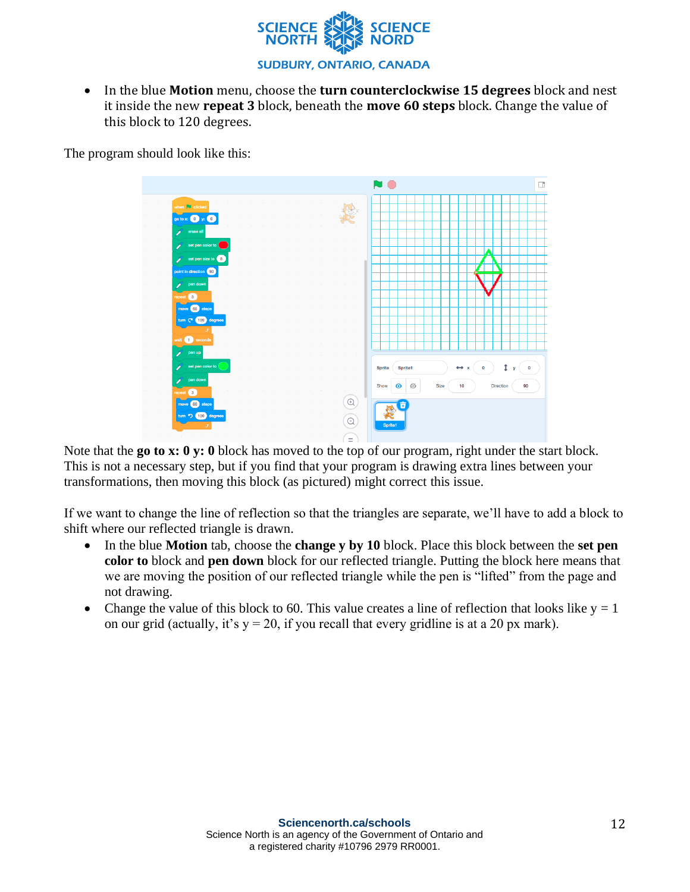

• In the blue **Motion** menu, choose the **turn counterclockwise 15 degrees** block and nest it inside the new **repeat 3** block, beneath the **move 60 steps** block. Change the value of this block to 120 degrees.

The program should look like this:



Note that the **go to x: 0 y: 0** block has moved to the top of our program, right under the start block. This is not a necessary step, but if you find that your program is drawing extra lines between your transformations, then moving this block (as pictured) might correct this issue.

If we want to change the line of reflection so that the triangles are separate, we'll have to add a block to shift where our reflected triangle is drawn.

- In the blue **Motion** tab, choose the **change y by 10** block. Place this block between the **set pen color to** block and **pen down** block for our reflected triangle. Putting the block here means that we are moving the position of our reflected triangle while the pen is "lifted" from the page and not drawing.
- Change the value of this block to 60. This value creates a line of reflection that looks like  $y = 1$ on our grid (actually, it's  $y = 20$ , if you recall that every gridline is at a 20 px mark).